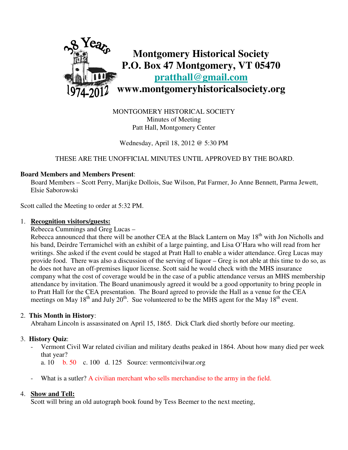

MONTGOMERY HISTORICAL SOCIETY Minutes of Meeting Patt Hall, Montgomery Center

Wednesday, April 18, 2012 @ 5:30 PM

## THESE ARE THE UNOFFICIAL MINUTES UNTIL APPROVED BY THE BOARD.

#### **Board Members and Members Present**:

Board Members – Scott Perry, Marijke Dollois, Sue Wilson, Pat Farmer, Jo Anne Bennett, Parma Jewett, Elsie Saborowski

Scott called the Meeting to order at 5:32 PM.

#### 1. **Recognition visitors/guests:**

Rebecca Cummings and Greg Lucas –

Rebecca announced that there will be another CEA at the Black Lantern on May 18<sup>th</sup> with Jon Nicholls and his band, Deirdre Terramichel with an exhibit of a large painting, and Lisa O'Hara who will read from her writings. She asked if the event could be staged at Pratt Hall to enable a wider attendance. Greg Lucas may provide food. There was also a discussion of the serving of liquor – Greg is not able at this time to do so, as he does not have an off-premises liquor license. Scott said he would check with the MHS insurance company what the cost of coverage would be in the case of a public attendance versus an MHS membership attendance by invitation. The Board unanimously agreed it would be a good opportunity to bring people in to Pratt Hall for the CEA presentation. The Board agreed to provide the Hall as a venue for the CEA meetings on May  $18<sup>th</sup>$  and July  $20<sup>th</sup>$ . Sue volunteered to be the MHS agent for the May  $18<sup>th</sup>$  event.

## 2. **This Month in History**:

Abraham Lincoln is assassinated on April 15, 1865. Dick Clark died shortly before our meeting.

## 3. **History Quiz**:

- Vermont Civil War related civilian and military deaths peaked in 1864. About how many died per week that year?
	- a. 10 b. 50 c. 100 d. 125 Source: vermontcivilwar.org
- What is a sutler? A civilian merchant who sells merchandise to the army in the field.

## 4. **Show and Tell:**

Scott will bring an old autograph book found by Tess Beemer to the next meeting,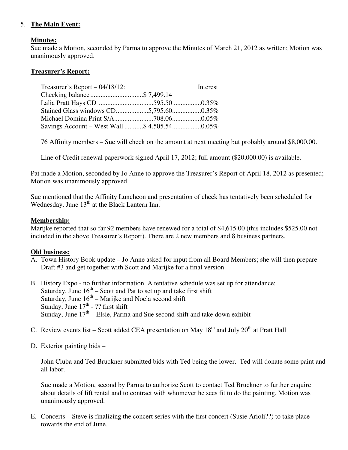## 5. **The Main Event:**

#### **Minutes:**

Sue made a Motion, seconded by Parma to approve the Minutes of March 21, 2012 as written; Motion was unanimously approved.

#### **Treasurer's Report:**

| Treasurer's Report $- 04/18/12$ : | Interest |
|-----------------------------------|----------|
| Checking balance\$ 7,499.14       |          |
|                                   |          |
|                                   |          |
|                                   |          |
|                                   |          |

76 Affinity members – Sue will check on the amount at next meeting but probably around \$8,000.00.

Line of Credit renewal paperwork signed April 17, 2012; full amount (\$20,000.00) is available.

Pat made a Motion, seconded by Jo Anne to approve the Treasurer's Report of April 18, 2012 as presented; Motion was unanimously approved.

Sue mentioned that the Affinity Luncheon and presentation of check has tentatively been scheduled for Wednesday, June  $13<sup>th</sup>$  at the Black Lantern Inn.

#### **Membership:**

Marijke reported that so far 92 members have renewed for a total of \$4,615.00 (this includes \$525.00 not included in the above Treasurer's Report). There are 2 new members and 8 business partners.

#### **Old business:**

- A. Town History Book update Jo Anne asked for input from all Board Members; she will then prepare Draft #3 and get together with Scott and Marijke for a final version.
- B. History Expo no further information. A tentative schedule was set up for attendance: Saturday, June  $16<sup>th</sup>$  – Scott and Pat to set up and take first shift Saturday, June  $16<sup>th</sup>$  – Marijke and Noela second shift Sunday, June  $17<sup>th</sup>$  - ?? first shift Sunday, June  $17<sup>th</sup>$  – Elsie, Parma and Sue second shift and take down exhibit
	- C. Review events list Scott added CEA presentation on May  $18<sup>th</sup>$  and July  $20<sup>th</sup>$  at Pratt Hall
	- D. Exterior painting bids –

 John Cluba and Ted Bruckner submitted bids with Ted being the lower. Ted will donate some paint and all labor.

 Sue made a Motion, second by Parma to authorize Scott to contact Ted Bruckner to further enquire about details of lift rental and to contract with whomever he sees fit to do the painting. Motion was unanimously approved.

 E. Concerts – Steve is finalizing the concert series with the first concert (Susie Arioli??) to take place towards the end of June.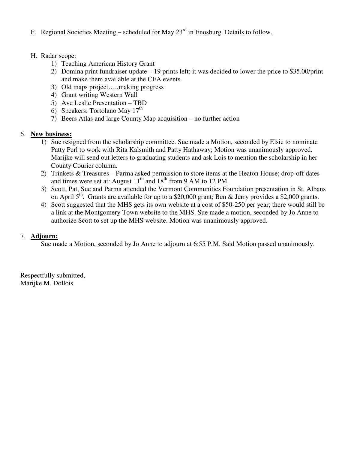- F. Regional Societies Meeting scheduled for May  $23<sup>rd</sup>$  in Enosburg. Details to follow.
- H. Radar scope:
	- 1) Teaching American History Grant
	- 2) Domina print fundraiser update 19 prints left; it was decided to lower the price to \$35.00/print and make them available at the CEA events.
	- 3) Old maps project…..making progress
	- 4) Grant writing Western Wall
	- 5) Ave Leslie Presentation TBD
- 6) Speakers: Tortolano May  $17<sup>th</sup>$ 
	- 7) Beers Atlas and large County Map acquisition no further action

## 6. **New business:**

- 1) Sue resigned from the scholarship committee. Sue made a Motion, seconded by Elsie to nominate Patty Perl to work with Rita Kalsmith and Patty Hathaway; Motion was unanimously approved. Marijke will send out letters to graduating students and ask Lois to mention the scholarship in her County Courier column.
- 2) Trinkets & Treasures Parma asked permission to store items at the Heaton House; drop-off dates and times were set at: August  $11<sup>th</sup>$  and  $18<sup>th</sup>$  from 9 AM to 12 PM.
- 3) Scott, Pat, Sue and Parma attended the Vermont Communities Foundation presentation in St. Albans on April  $5<sup>th</sup>$ . Grants are available for up to a \$20,000 grant; Ben & Jerry provides a \$2,000 grants.
- 4) Scott suggested that the MHS gets its own website at a cost of \$50-250 per year; there would still be a link at the Montgomery Town website to the MHS. Sue made a motion, seconded by Jo Anne to authorize Scott to set up the MHS website. Motion was unanimously approved.

## 7. **Adjourn:**

Sue made a Motion, seconded by Jo Anne to adjourn at 6:55 P.M. Said Motion passed unanimously.

Respectfully submitted, Marijke M. Dollois